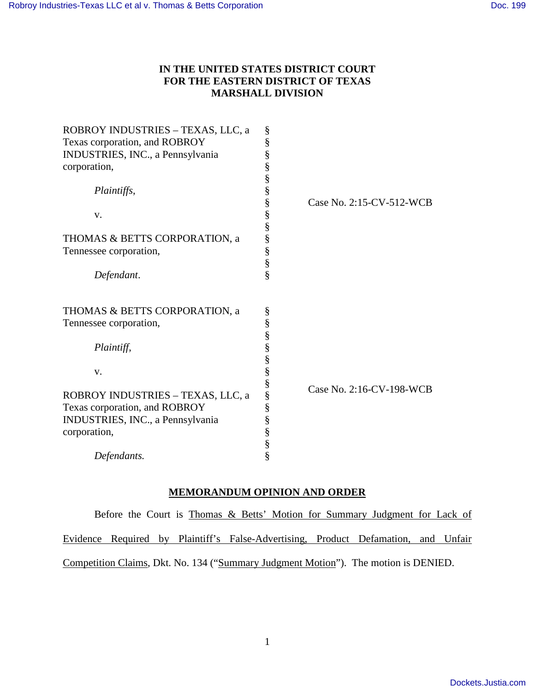## **IN THE UNITED STATES DISTRICT COURT FOR THE EASTERN DISTRICT OF TEXAS MARSHALL DIVISION**

| ROBROY INDUSTRIES - TEXAS, LLC, a | §                     |                          |
|-----------------------------------|-----------------------|--------------------------|
| Texas corporation, and ROBROY     | §                     |                          |
| INDUSTRIES, INC., a Pennsylvania  | §                     |                          |
| corporation,                      | §                     |                          |
|                                   | $\S$                  |                          |
| Plaintiffs,                       | §                     |                          |
|                                   | §                     | Case No. 2:15-CV-512-WCB |
| V.                                |                       |                          |
|                                   | §<br>§                |                          |
| THOMAS & BETTS CORPORATION, a     | $\S$                  |                          |
| Tennessee corporation,            |                       |                          |
|                                   | §<br>§                |                          |
| Defendant.                        | §                     |                          |
|                                   |                       |                          |
| THOMAS & BETTS CORPORATION, a     | §                     |                          |
| Tennessee corporation,            |                       |                          |
|                                   | S<br>S<br>S<br>S<br>S |                          |
| Plaintiff,                        |                       |                          |
|                                   |                       |                          |
| V.                                | §                     |                          |
|                                   | $\S$                  |                          |
| ROBROY INDUSTRIES - TEXAS, LLC, a | §                     | Case No. 2:16-CV-198-WCB |
| Texas corporation, and ROBROY     | §                     |                          |
| INDUSTRIES, INC., a Pennsylvania  | $\S$                  |                          |
|                                   |                       |                          |
| corporation,                      | $\S$                  |                          |
|                                   | $\S$                  |                          |
| Defendants.                       | §                     |                          |

# **MEMORANDUM OPINION AND ORDER**

Before the Court is Thomas & Betts' Motion for Summary Judgment for Lack of Evidence Required by Plaintiff's False-Advertising, Product Defamation, and Unfair Competition Claims, Dkt. No. 134 ("Summary Judgment Motion"). The motion is DENIED.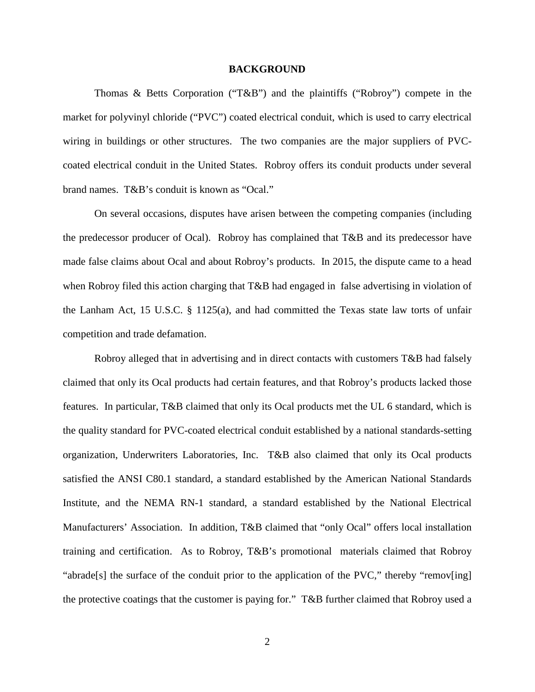#### **BACKGROUND**

Thomas & Betts Corporation ("T&B") and the plaintiffs ("Robroy") compete in the market for polyvinyl chloride ("PVC") coated electrical conduit, which is used to carry electrical wiring in buildings or other structures. The two companies are the major suppliers of PVCcoated electrical conduit in the United States. Robroy offers its conduit products under several brand names. T&B's conduit is known as "Ocal."

On several occasions, disputes have arisen between the competing companies (including the predecessor producer of Ocal). Robroy has complained that T&B and its predecessor have made false claims about Ocal and about Robroy's products. In 2015, the dispute came to a head when Robroy filed this action charging that T&B had engaged in false advertising in violation of the Lanham Act, 15 U.S.C. § 1125(a), and had committed the Texas state law torts of unfair competition and trade defamation.

Robroy alleged that in advertising and in direct contacts with customers T&B had falsely claimed that only its Ocal products had certain features, and that Robroy's products lacked those features. In particular, T&B claimed that only its Ocal products met the UL 6 standard, which is the quality standard for PVC-coated electrical conduit established by a national standards-setting organization, Underwriters Laboratories, Inc. T&B also claimed that only its Ocal products satisfied the ANSI C80.1 standard, a standard established by the American National Standards Institute, and the NEMA RN-1 standard, a standard established by the National Electrical Manufacturers' Association. In addition, T&B claimed that "only Ocal" offers local installation training and certification. As to Robroy, T&B's promotional materials claimed that Robroy "abrade[s] the surface of the conduit prior to the application of the PVC," thereby "remov[ing] the protective coatings that the customer is paying for." T&B further claimed that Robroy used a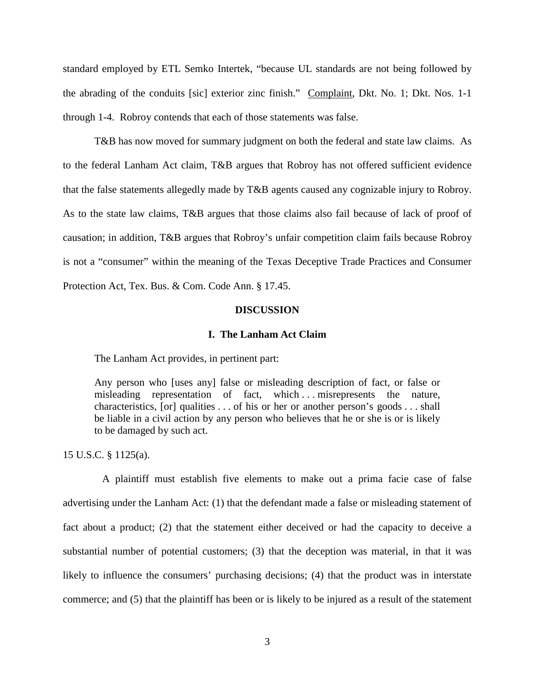standard employed by ETL Semko Intertek, "because UL standards are not being followed by the abrading of the conduits [sic] exterior zinc finish." Complaint, Dkt. No. 1; Dkt. Nos. 1-1 through 1-4. Robroy contends that each of those statements was false.

T&B has now moved for summary judgment on both the federal and state law claims. As to the federal Lanham Act claim, T&B argues that Robroy has not offered sufficient evidence that the false statements allegedly made by T&B agents caused any cognizable injury to Robroy. As to the state law claims, T&B argues that those claims also fail because of lack of proof of causation; in addition, T&B argues that Robroy's unfair competition claim fails because Robroy is not a "consumer" within the meaning of the Texas Deceptive Trade Practices and Consumer Protection Act, Tex. Bus. & Com. Code Ann. § 17.45.

#### **DISCUSSION**

#### **I. The Lanham Act Claim**

The Lanham Act provides, in pertinent part:

Any person who [uses any] false or misleading description of fact, or false or misleading representation of fact, which ... misrepresents the nature, characteristics, [or] qualities . . . of his or her or another person's goods . . . shall be liable in a civil action by any person who believes that he or she is or is likely to be damaged by such act.

15 U.S.C. § 1125(a).

 A plaintiff must establish five elements to make out a prima facie case of false advertising under the Lanham Act: (1) that the defendant made a false or misleading statement of fact about a product; (2) that the statement either deceived or had the capacity to deceive a substantial number of potential customers; (3) that the deception was material, in that it was likely to influence the consumers' purchasing decisions; (4) that the product was in interstate commerce; and (5) that the plaintiff has been or is likely to be injured as a result of the statement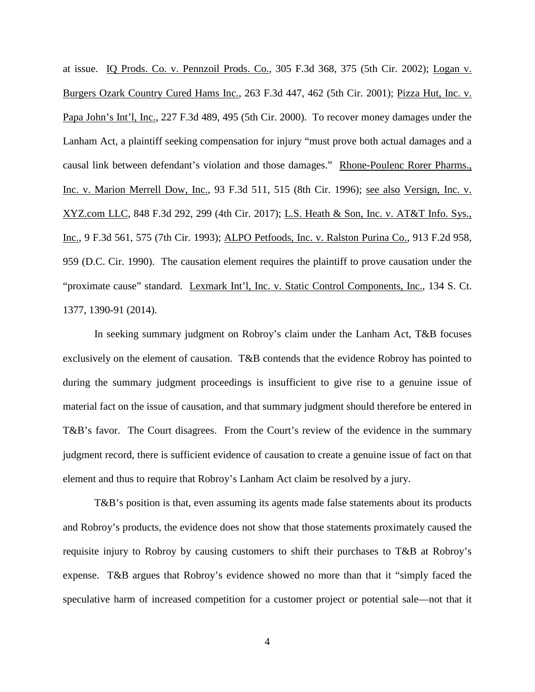at issue. IQ Prods. Co. v. Pennzoil Prods. Co., 305 F.3d 368, 375 (5th Cir. 2002); Logan v. Burgers Ozark Country Cured Hams Inc., 263 F.3d 447, 462 (5th Cir. 2001); Pizza Hut, Inc. v. Papa John's Int'l, Inc., 227 F.3d 489, 495 (5th Cir. 2000). To recover money damages under the Lanham Act, a plaintiff seeking compensation for injury "must prove both actual damages and a causal link between defendant's violation and those damages." Rhone-Poulenc Rorer Pharms., Inc. v. Marion Merrell Dow, Inc., 93 F.3d 511, 515 (8th Cir. 1996); see also Versign, Inc. v. XYZ.com LLC, 848 F.3d 292, 299 (4th Cir. 2017); L.S. Heath & Son, Inc. v. AT&T Info. Sys., Inc., 9 F.3d 561, 575 (7th Cir. 1993); ALPO Petfoods, Inc. v. Ralston Purina Co., 913 F.2d 958, 959 (D.C. Cir. 1990). The causation element requires the plaintiff to prove causation under the "proximate cause" standard. Lexmark Int'l, Inc. v. Static Control Components, Inc., 134 S. Ct. 1377, 1390-91 (2014).

In seeking summary judgment on Robroy's claim under the Lanham Act, T&B focuses exclusively on the element of causation. T&B contends that the evidence Robroy has pointed to during the summary judgment proceedings is insufficient to give rise to a genuine issue of material fact on the issue of causation, and that summary judgment should therefore be entered in T&B's favor. The Court disagrees. From the Court's review of the evidence in the summary judgment record, there is sufficient evidence of causation to create a genuine issue of fact on that element and thus to require that Robroy's Lanham Act claim be resolved by a jury.

T&B's position is that, even assuming its agents made false statements about its products and Robroy's products, the evidence does not show that those statements proximately caused the requisite injury to Robroy by causing customers to shift their purchases to T&B at Robroy's expense. T&B argues that Robroy's evidence showed no more than that it "simply faced the speculative harm of increased competition for a customer project or potential sale—not that it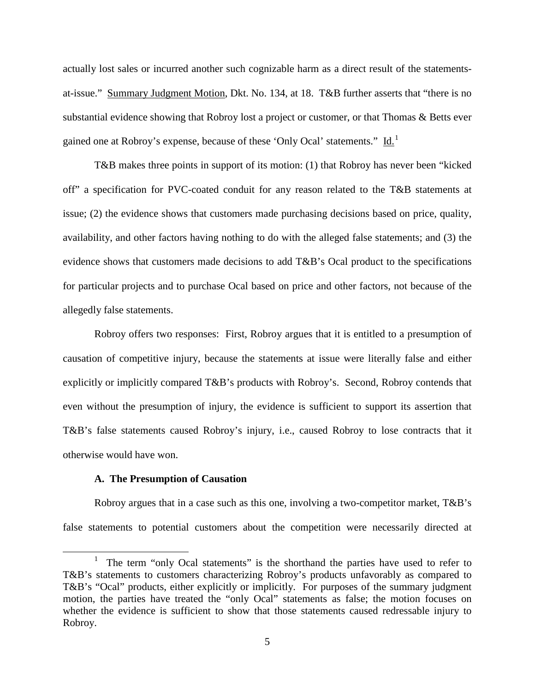actually lost sales or incurred another such cognizable harm as a direct result of the statementsat-issue." Summary Judgment Motion, Dkt. No. 134, at 18. T&B further asserts that "there is no substantial evidence showing that Robroy lost a project or customer, or that Thomas & Betts ever gained one at Robroy's expense, because of these 'Only Ocal' statements." Id.<sup>[1](#page-4-0)</sup>

T&B makes three points in support of its motion: (1) that Robroy has never been "kicked off" a specification for PVC-coated conduit for any reason related to the T&B statements at issue; (2) the evidence shows that customers made purchasing decisions based on price, quality, availability, and other factors having nothing to do with the alleged false statements; and (3) the evidence shows that customers made decisions to add T&B's Ocal product to the specifications for particular projects and to purchase Ocal based on price and other factors, not because of the allegedly false statements.

Robroy offers two responses: First, Robroy argues that it is entitled to a presumption of causation of competitive injury, because the statements at issue were literally false and either explicitly or implicitly compared T&B's products with Robroy's. Second, Robroy contends that even without the presumption of injury, the evidence is sufficient to support its assertion that T&B's false statements caused Robroy's injury, i.e., caused Robroy to lose contracts that it otherwise would have won.

## **A. The Presumption of Causation**

 $\overline{a}$ 

Robroy argues that in a case such as this one, involving a two-competitor market, T&B's false statements to potential customers about the competition were necessarily directed at

<span id="page-4-0"></span><sup>1</sup> The term "only Ocal statements" is the shorthand the parties have used to refer to T&B's statements to customers characterizing Robroy's products unfavorably as compared to T&B's "Ocal" products, either explicitly or implicitly. For purposes of the summary judgment motion, the parties have treated the "only Ocal" statements as false; the motion focuses on whether the evidence is sufficient to show that those statements caused redressable injury to Robroy.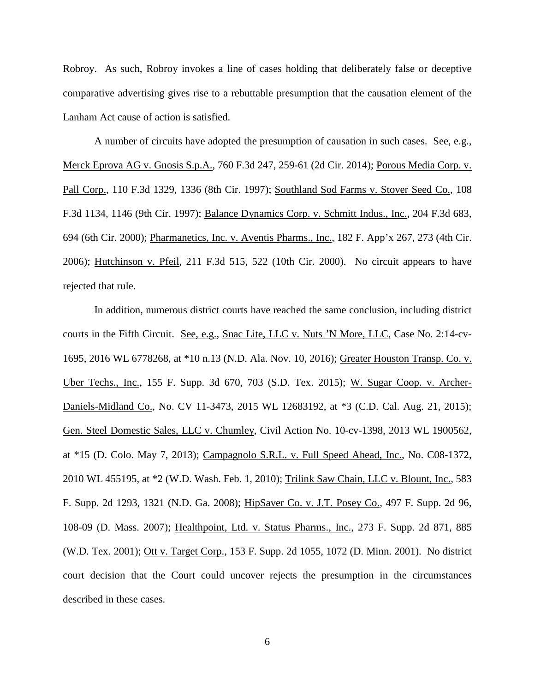Robroy. As such, Robroy invokes a line of cases holding that deliberately false or deceptive comparative advertising gives rise to a rebuttable presumption that the causation element of the Lanham Act cause of action is satisfied.

A number of circuits have adopted the presumption of causation in such cases. See, e.g., Merck Eprova AG v. Gnosis S.p.A., 760 F.3d 247, 259-61 (2d Cir. 2014); Porous Media Corp. v. Pall Corp., 110 F.3d 1329, 1336 (8th Cir. 1997); Southland Sod Farms v. Stover Seed Co., 108 F.3d 1134, 1146 (9th Cir. 1997); Balance Dynamics Corp. v. Schmitt Indus., Inc., 204 F.3d 683, 694 (6th Cir. 2000); Pharmanetics, Inc. v. Aventis Pharms., Inc., 182 F. App'x 267, 273 (4th Cir. 2006); Hutchinson v. Pfeil, 211 F.3d 515, 522 (10th Cir. 2000). No circuit appears to have rejected that rule.

In addition, numerous district courts have reached the same conclusion, including district courts in the Fifth Circuit. See, e.g., Snac Lite, LLC v. Nuts 'N More, LLC, Case No. 2:14-cv-1695, 2016 WL 6778268, at \*10 n.13 (N.D. Ala. Nov. 10, 2016); Greater Houston Transp. Co. v. Uber Techs., Inc., 155 F. Supp. 3d 670, 703 (S.D. Tex. 2015); W. Sugar Coop. v. Archer-Daniels-Midland Co., No. CV 11-3473, 2015 WL 12683192, at \*3 (C.D. Cal. Aug. 21, 2015); Gen. Steel Domestic Sales, LLC v. Chumley, Civil Action No. 10-cv-1398, 2013 WL 1900562, at \*15 (D. Colo. May 7, 2013); Campagnolo S.R.L. v. Full Speed Ahead, Inc., No. C08-1372, 2010 WL 455195, at \*2 (W.D. Wash. Feb. 1, 2010); Trilink Saw Chain, LLC v. Blount, Inc., 583 F. Supp. 2d 1293, 1321 (N.D. Ga. 2008); HipSaver Co. v. J.T. Posey Co., 497 F. Supp. 2d 96, 108-09 (D. Mass. 2007); Healthpoint, Ltd. v. Status Pharms., Inc., 273 F. Supp. 2d 871, 885 (W.D. Tex. 2001); Ott v. Target Corp., 153 F. Supp. 2d 1055, 1072 (D. Minn. 2001). No district court decision that the Court could uncover rejects the presumption in the circumstances described in these cases.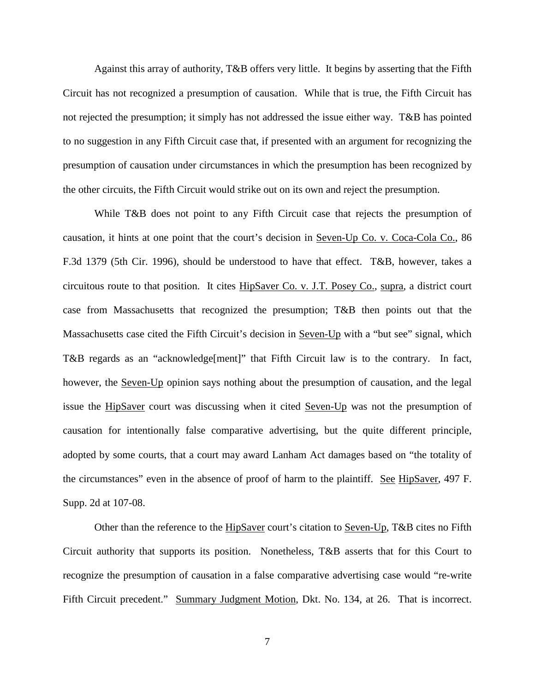Against this array of authority, T&B offers very little. It begins by asserting that the Fifth Circuit has not recognized a presumption of causation. While that is true, the Fifth Circuit has not rejected the presumption; it simply has not addressed the issue either way. T&B has pointed to no suggestion in any Fifth Circuit case that, if presented with an argument for recognizing the presumption of causation under circumstances in which the presumption has been recognized by the other circuits, the Fifth Circuit would strike out on its own and reject the presumption.

While T&B does not point to any Fifth Circuit case that rejects the presumption of causation, it hints at one point that the court's decision in Seven-Up Co. v. Coca-Cola Co., 86 F.3d 1379 (5th Cir. 1996), should be understood to have that effect. T&B, however, takes a circuitous route to that position. It cites HipSaver Co. v. J.T. Posey Co., supra, a district court case from Massachusetts that recognized the presumption; T&B then points out that the Massachusetts case cited the Fifth Circuit's decision in Seven-Up with a "but see" signal, which T&B regards as an "acknowledge[ment]" that Fifth Circuit law is to the contrary. In fact, however, the Seven-Up opinion says nothing about the presumption of causation, and the legal issue the HipSaver court was discussing when it cited Seven-Up was not the presumption of causation for intentionally false comparative advertising, but the quite different principle, adopted by some courts, that a court may award Lanham Act damages based on "the totality of the circumstances" even in the absence of proof of harm to the plaintiff. See HipSaver, 497 F. Supp. 2d at 107-08.

Other than the reference to the HipSaver court's citation to Seven-Up, T&B cites no Fifth Circuit authority that supports its position. Nonetheless, T&B asserts that for this Court to recognize the presumption of causation in a false comparative advertising case would "re-write Fifth Circuit precedent." Summary Judgment Motion, Dkt. No. 134, at 26. That is incorrect.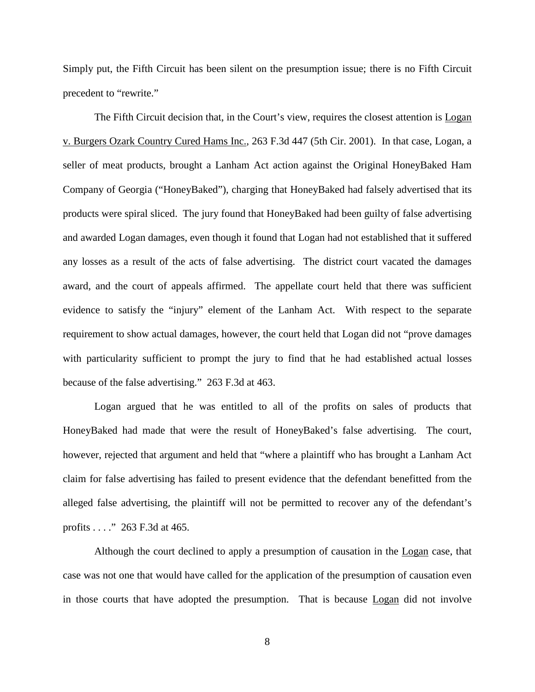Simply put, the Fifth Circuit has been silent on the presumption issue; there is no Fifth Circuit precedent to "rewrite."

The Fifth Circuit decision that, in the Court's view, requires the closest attention is Logan v. Burgers Ozark Country Cured Hams Inc., 263 F.3d 447 (5th Cir. 2001). In that case, Logan, a seller of meat products, brought a Lanham Act action against the Original HoneyBaked Ham Company of Georgia ("HoneyBaked"), charging that HoneyBaked had falsely advertised that its products were spiral sliced. The jury found that HoneyBaked had been guilty of false advertising and awarded Logan damages, even though it found that Logan had not established that it suffered any losses as a result of the acts of false advertising. The district court vacated the damages award, and the court of appeals affirmed. The appellate court held that there was sufficient evidence to satisfy the "injury" element of the Lanham Act. With respect to the separate requirement to show actual damages, however, the court held that Logan did not "prove damages with particularity sufficient to prompt the jury to find that he had established actual losses because of the false advertising." 263 F.3d at 463.

Logan argued that he was entitled to all of the profits on sales of products that HoneyBaked had made that were the result of HoneyBaked's false advertising. The court, however, rejected that argument and held that "where a plaintiff who has brought a Lanham Act claim for false advertising has failed to present evidence that the defendant benefitted from the alleged false advertising, the plaintiff will not be permitted to recover any of the defendant's profits . . . ." 263 F.3d at 465.

Although the court declined to apply a presumption of causation in the Logan case, that case was not one that would have called for the application of the presumption of causation even in those courts that have adopted the presumption. That is because Logan did not involve

8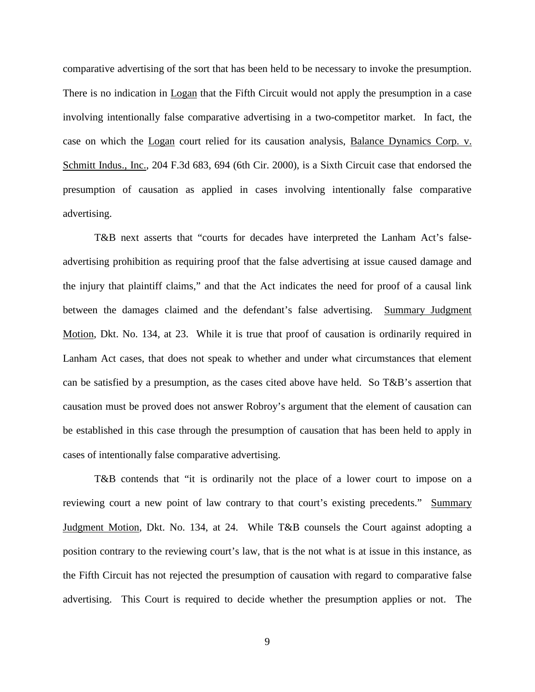comparative advertising of the sort that has been held to be necessary to invoke the presumption. There is no indication in Logan that the Fifth Circuit would not apply the presumption in a case involving intentionally false comparative advertising in a two-competitor market. In fact, the case on which the Logan court relied for its causation analysis, Balance Dynamics Corp. v. Schmitt Indus., Inc., 204 F.3d 683, 694 (6th Cir. 2000), is a Sixth Circuit case that endorsed the presumption of causation as applied in cases involving intentionally false comparative advertising.

T&B next asserts that "courts for decades have interpreted the Lanham Act's falseadvertising prohibition as requiring proof that the false advertising at issue caused damage and the injury that plaintiff claims," and that the Act indicates the need for proof of a causal link between the damages claimed and the defendant's false advertising. Summary Judgment Motion, Dkt. No. 134, at 23. While it is true that proof of causation is ordinarily required in Lanham Act cases, that does not speak to whether and under what circumstances that element can be satisfied by a presumption, as the cases cited above have held. So T&B's assertion that causation must be proved does not answer Robroy's argument that the element of causation can be established in this case through the presumption of causation that has been held to apply in cases of intentionally false comparative advertising.

T&B contends that "it is ordinarily not the place of a lower court to impose on a reviewing court a new point of law contrary to that court's existing precedents." Summary Judgment Motion, Dkt. No. 134, at 24. While T&B counsels the Court against adopting a position contrary to the reviewing court's law, that is the not what is at issue in this instance, as the Fifth Circuit has not rejected the presumption of causation with regard to comparative false advertising. This Court is required to decide whether the presumption applies or not. The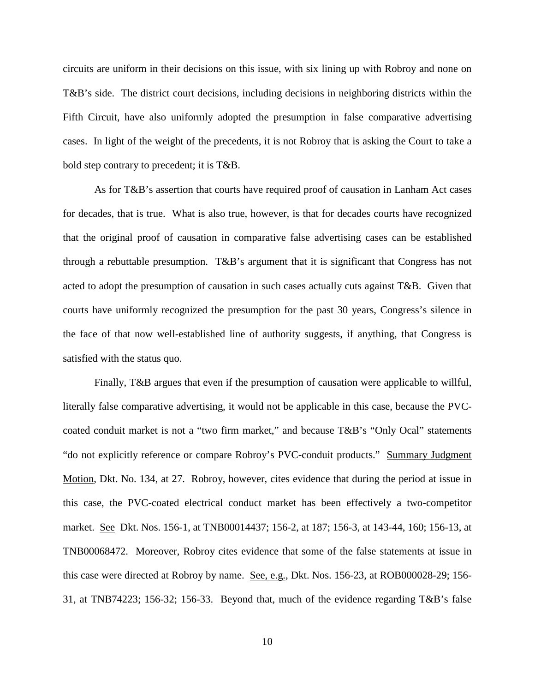circuits are uniform in their decisions on this issue, with six lining up with Robroy and none on T&B's side. The district court decisions, including decisions in neighboring districts within the Fifth Circuit, have also uniformly adopted the presumption in false comparative advertising cases. In light of the weight of the precedents, it is not Robroy that is asking the Court to take a bold step contrary to precedent; it is T&B.

As for T&B's assertion that courts have required proof of causation in Lanham Act cases for decades, that is true. What is also true, however, is that for decades courts have recognized that the original proof of causation in comparative false advertising cases can be established through a rebuttable presumption. T&B's argument that it is significant that Congress has not acted to adopt the presumption of causation in such cases actually cuts against  $T\&B$ . Given that courts have uniformly recognized the presumption for the past 30 years, Congress's silence in the face of that now well-established line of authority suggests, if anything, that Congress is satisfied with the status quo.

Finally, T&B argues that even if the presumption of causation were applicable to willful, literally false comparative advertising, it would not be applicable in this case, because the PVCcoated conduit market is not a "two firm market," and because T&B's "Only Ocal" statements "do not explicitly reference or compare Robroy's PVC-conduit products." Summary Judgment Motion, Dkt. No. 134, at 27. Robroy, however, cites evidence that during the period at issue in this case, the PVC-coated electrical conduct market has been effectively a two-competitor market. See Dkt. Nos. 156-1, at TNB00014437; 156-2, at 187; 156-3, at 143-44, 160; 156-13, at TNB00068472. Moreover, Robroy cites evidence that some of the false statements at issue in this case were directed at Robroy by name. See, e.g., Dkt. Nos. 156-23, at ROB000028-29; 156-31, at TNB74223; 156-32; 156-33. Beyond that, much of the evidence regarding T&B's false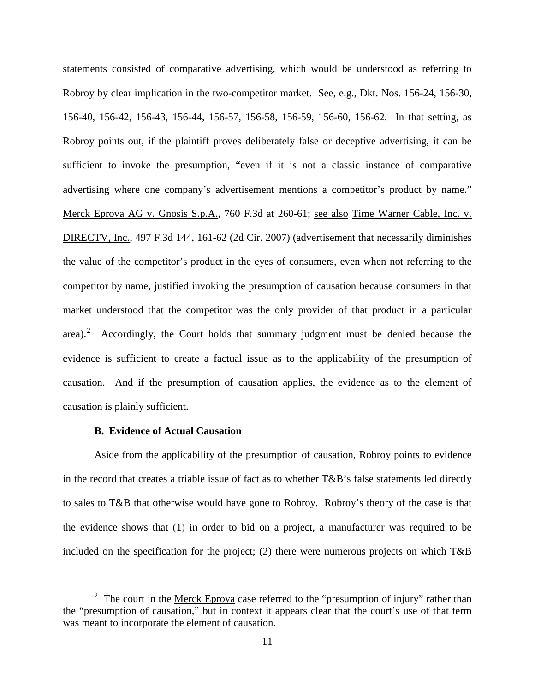statements consisted of comparative advertising, which would be understood as referring to Robroy by clear implication in the two-competitor market. See, e.g., Dkt. Nos. 156-24, 156-30, 156-40, 156-42, 156-43, 156-44, 156-57, 156-58, 156-59, 156-60, 156-62. In that setting, as Robroy points out, if the plaintiff proves deliberately false or deceptive advertising, it can be sufficient to invoke the presumption, "even if it is not a classic instance of comparative advertising where one company's advertisement mentions a competitor's product by name." Merck Eprova AG v. Gnosis S.p.A., 760 F.3d at 260-61; see also Time Warner Cable, Inc. v. DIRECTV, Inc., 497 F.3d 144, 161-62 (2d Cir. 2007) (advertisement that necessarily diminishes the value of the competitor's product in the eyes of consumers, even when not referring to the competitor by name, justified invoking the presumption of causation because consumers in that market understood that the competitor was the only provider of that product in a particular area). $2$  Accordingly, the Court holds that summary judgment must be denied because the evidence is sufficient to create a factual issue as to the applicability of the presumption of causation. And if the presumption of causation applies, the evidence as to the element of causation is plainly sufficient.

## **B. Evidence of Actual Causation**

 $\overline{a}$ 

Aside from the applicability of the presumption of causation, Robroy points to evidence in the record that creates a triable issue of fact as to whether T&B's false statements led directly to sales to T&B that otherwise would have gone to Robroy. Robroy's theory of the case is that the evidence shows that (1) in order to bid on a project, a manufacturer was required to be included on the specification for the project; (2) there were numerous projects on which T&B

<span id="page-10-0"></span><sup>&</sup>lt;sup>2</sup> The court in the Merck Eprova case referred to the "presumption of injury" rather than the "presumption of causation," but in context it appears clear that the court's use of that term was meant to incorporate the element of causation.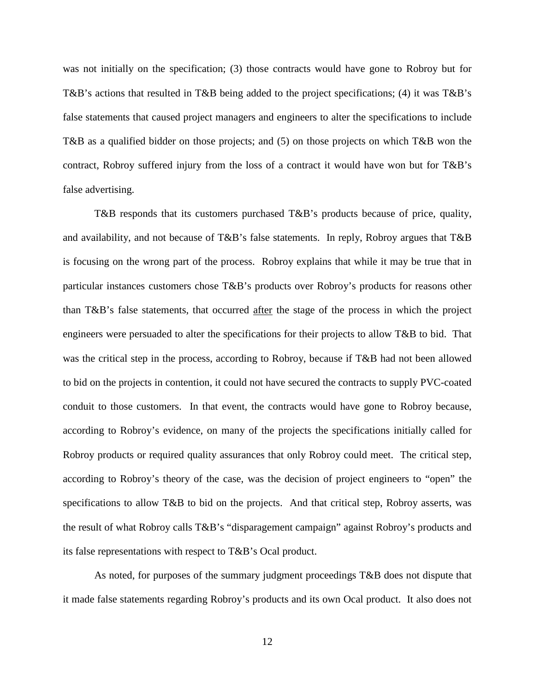was not initially on the specification; (3) those contracts would have gone to Robroy but for T&B's actions that resulted in T&B being added to the project specifications; (4) it was T&B's false statements that caused project managers and engineers to alter the specifications to include T&B as a qualified bidder on those projects; and (5) on those projects on which T&B won the contract, Robroy suffered injury from the loss of a contract it would have won but for T&B's false advertising.

T&B responds that its customers purchased T&B's products because of price, quality, and availability, and not because of T&B's false statements. In reply, Robroy argues that T&B is focusing on the wrong part of the process. Robroy explains that while it may be true that in particular instances customers chose T&B's products over Robroy's products for reasons other than T&B's false statements, that occurred after the stage of the process in which the project engineers were persuaded to alter the specifications for their projects to allow T&B to bid. That was the critical step in the process, according to Robroy, because if T&B had not been allowed to bid on the projects in contention, it could not have secured the contracts to supply PVC-coated conduit to those customers. In that event, the contracts would have gone to Robroy because, according to Robroy's evidence, on many of the projects the specifications initially called for Robroy products or required quality assurances that only Robroy could meet. The critical step, according to Robroy's theory of the case, was the decision of project engineers to "open" the specifications to allow T&B to bid on the projects. And that critical step, Robroy asserts, was the result of what Robroy calls T&B's "disparagement campaign" against Robroy's products and its false representations with respect to T&B's Ocal product.

As noted, for purposes of the summary judgment proceedings T&B does not dispute that it made false statements regarding Robroy's products and its own Ocal product. It also does not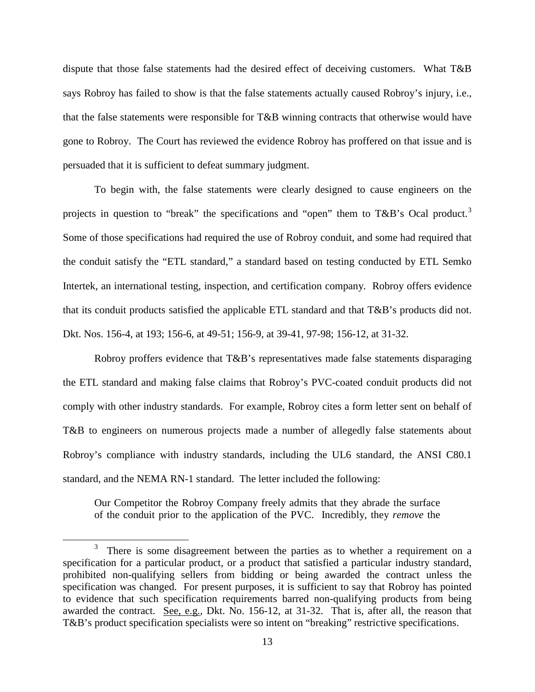dispute that those false statements had the desired effect of deceiving customers. What T&B says Robroy has failed to show is that the false statements actually caused Robroy's injury, i.e., that the false statements were responsible for T&B winning contracts that otherwise would have gone to Robroy. The Court has reviewed the evidence Robroy has proffered on that issue and is persuaded that it is sufficient to defeat summary judgment.

To begin with, the false statements were clearly designed to cause engineers on the projects in question to "break" the specifications and "open" them to T&B's Ocal product.<sup>[3](#page-12-0)</sup> Some of those specifications had required the use of Robroy conduit, and some had required that the conduit satisfy the "ETL standard," a standard based on testing conducted by ETL Semko Intertek, an international testing, inspection, and certification company. Robroy offers evidence that its conduit products satisfied the applicable ETL standard and that T&B's products did not. Dkt. Nos. 156-4, at 193; 156-6, at 49-51; 156-9, at 39-41, 97-98; 156-12, at 31-32.

Robroy proffers evidence that T&B's representatives made false statements disparaging the ETL standard and making false claims that Robroy's PVC-coated conduit products did not comply with other industry standards. For example, Robroy cites a form letter sent on behalf of T&B to engineers on numerous projects made a number of allegedly false statements about Robroy's compliance with industry standards, including the UL6 standard, the ANSI C80.1 standard, and the NEMA RN-1 standard. The letter included the following:

Our Competitor the Robroy Company freely admits that they abrade the surface of the conduit prior to the application of the PVC. Incredibly, they *remove* the

 $\overline{a}$ 

<span id="page-12-0"></span> $3$  There is some disagreement between the parties as to whether a requirement on a specification for a particular product, or a product that satisfied a particular industry standard, prohibited non-qualifying sellers from bidding or being awarded the contract unless the specification was changed. For present purposes, it is sufficient to say that Robroy has pointed to evidence that such specification requirements barred non-qualifying products from being awarded the contract. See, e.g., Dkt. No. 156-12, at 31-32. That is, after all, the reason that T&B's product specification specialists were so intent on "breaking" restrictive specifications.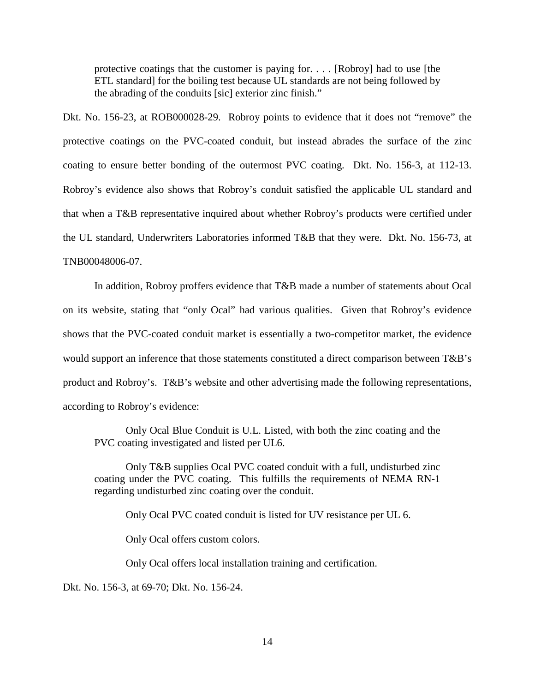protective coatings that the customer is paying for. . . . [Robroy] had to use [the ETL standard] for the boiling test because UL standards are not being followed by the abrading of the conduits [sic] exterior zinc finish."

Dkt. No. 156-23, at ROB000028-29. Robroy points to evidence that it does not "remove" the protective coatings on the PVC-coated conduit, but instead abrades the surface of the zinc coating to ensure better bonding of the outermost PVC coating. Dkt. No. 156-3, at 112-13. Robroy's evidence also shows that Robroy's conduit satisfied the applicable UL standard and that when a T&B representative inquired about whether Robroy's products were certified under the UL standard, Underwriters Laboratories informed T&B that they were. Dkt. No. 156-73, at TNB00048006-07.

In addition, Robroy proffers evidence that T&B made a number of statements about Ocal on its website, stating that "only Ocal" had various qualities. Given that Robroy's evidence shows that the PVC-coated conduit market is essentially a two-competitor market, the evidence would support an inference that those statements constituted a direct comparison between T&B's product and Robroy's. T&B's website and other advertising made the following representations, according to Robroy's evidence:

Only Ocal Blue Conduit is U.L. Listed, with both the zinc coating and the PVC coating investigated and listed per UL6.

Only T&B supplies Ocal PVC coated conduit with a full, undisturbed zinc coating under the PVC coating. This fulfills the requirements of NEMA RN-1 regarding undisturbed zinc coating over the conduit.

Only Ocal PVC coated conduit is listed for UV resistance per UL 6.

Only Ocal offers custom colors.

Only Ocal offers local installation training and certification.

Dkt. No. 156-3, at 69-70; Dkt. No. 156-24.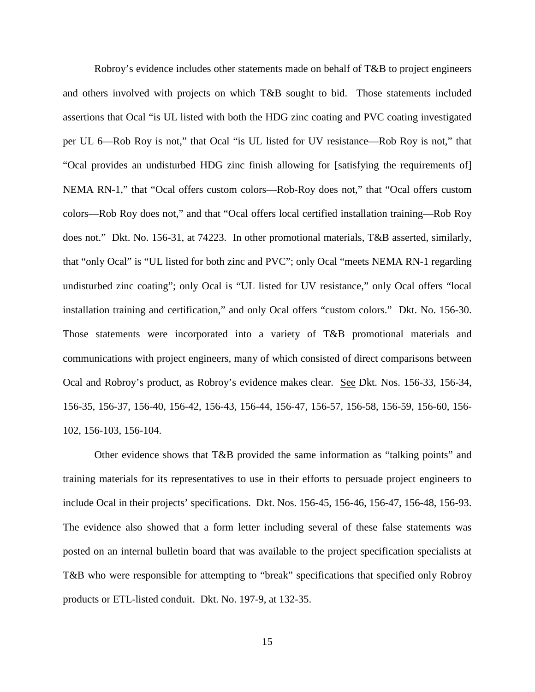Robroy's evidence includes other statements made on behalf of T&B to project engineers and others involved with projects on which T&B sought to bid. Those statements included assertions that Ocal "is UL listed with both the HDG zinc coating and PVC coating investigated per UL 6—Rob Roy is not," that Ocal "is UL listed for UV resistance—Rob Roy is not," that "Ocal provides an undisturbed HDG zinc finish allowing for [satisfying the requirements of] NEMA RN-1," that "Ocal offers custom colors—Rob-Roy does not," that "Ocal offers custom colors—Rob Roy does not," and that "Ocal offers local certified installation training—Rob Roy does not." Dkt. No. 156-31, at 74223. In other promotional materials, T&B asserted, similarly, that "only Ocal" is "UL listed for both zinc and PVC"; only Ocal "meets NEMA RN-1 regarding undisturbed zinc coating"; only Ocal is "UL listed for UV resistance," only Ocal offers "local installation training and certification," and only Ocal offers "custom colors." Dkt. No. 156-30. Those statements were incorporated into a variety of T&B promotional materials and communications with project engineers, many of which consisted of direct comparisons between Ocal and Robroy's product, as Robroy's evidence makes clear. See Dkt. Nos. 156-33, 156-34, 156-35, 156-37, 156-40, 156-42, 156-43, 156-44, 156-47, 156-57, 156-58, 156-59, 156-60, 156- 102, 156-103, 156-104.

Other evidence shows that T&B provided the same information as "talking points" and training materials for its representatives to use in their efforts to persuade project engineers to include Ocal in their projects' specifications. Dkt. Nos. 156-45, 156-46, 156-47, 156-48, 156-93. The evidence also showed that a form letter including several of these false statements was posted on an internal bulletin board that was available to the project specification specialists at T&B who were responsible for attempting to "break" specifications that specified only Robroy products or ETL-listed conduit. Dkt. No. 197-9, at 132-35.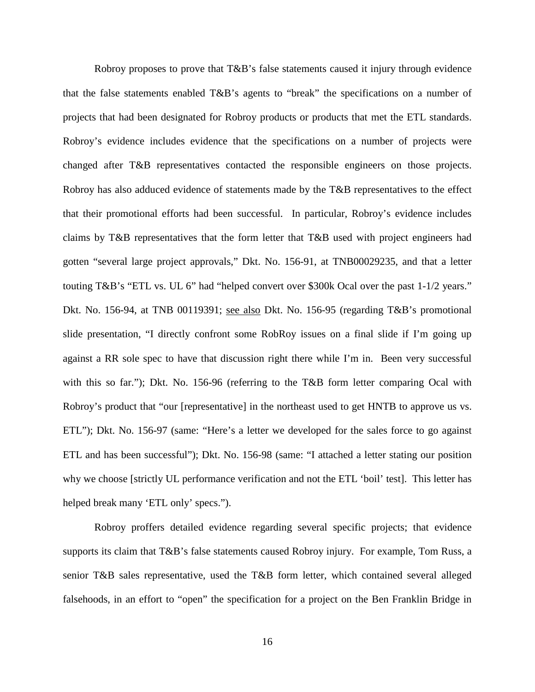Robroy proposes to prove that T&B's false statements caused it injury through evidence that the false statements enabled T&B's agents to "break" the specifications on a number of projects that had been designated for Robroy products or products that met the ETL standards. Robroy's evidence includes evidence that the specifications on a number of projects were changed after T&B representatives contacted the responsible engineers on those projects. Robroy has also adduced evidence of statements made by the T&B representatives to the effect that their promotional efforts had been successful. In particular, Robroy's evidence includes claims by T&B representatives that the form letter that T&B used with project engineers had gotten "several large project approvals," Dkt. No. 156-91, at TNB00029235, and that a letter touting T&B's "ETL vs. UL 6" had "helped convert over \$300k Ocal over the past 1-1/2 years." Dkt. No. 156-94, at TNB 00119391; see also Dkt. No. 156-95 (regarding T&B's promotional slide presentation, "I directly confront some RobRoy issues on a final slide if I'm going up against a RR sole spec to have that discussion right there while I'm in. Been very successful with this so far."); Dkt. No. 156-96 (referring to the T&B form letter comparing Ocal with Robroy's product that "our [representative] in the northeast used to get HNTB to approve us vs. ETL"); Dkt. No. 156-97 (same: "Here's a letter we developed for the sales force to go against ETL and has been successful"); Dkt. No. 156-98 (same: "I attached a letter stating our position why we choose [strictly UL performance verification and not the ETL 'boil' test]. This letter has helped break many 'ETL only' specs.").

Robroy proffers detailed evidence regarding several specific projects; that evidence supports its claim that T&B's false statements caused Robroy injury. For example, Tom Russ, a senior T&B sales representative, used the T&B form letter, which contained several alleged falsehoods, in an effort to "open" the specification for a project on the Ben Franklin Bridge in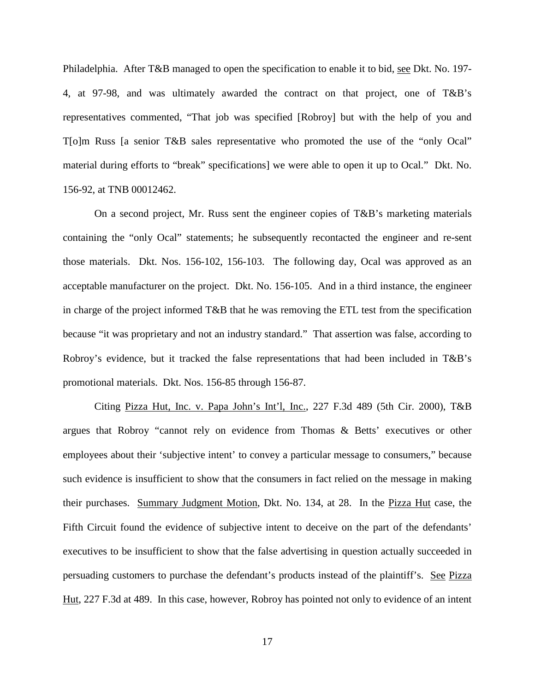Philadelphia. After T&B managed to open the specification to enable it to bid, see Dkt. No. 197- 4, at 97-98, and was ultimately awarded the contract on that project, one of T&B's representatives commented, "That job was specified [Robroy] but with the help of you and T[o]m Russ [a senior T&B sales representative who promoted the use of the "only Ocal" material during efforts to "break" specifications] we were able to open it up to Ocal." Dkt. No. 156-92, at TNB 00012462.

 On a second project, Mr. Russ sent the engineer copies of T&B's marketing materials containing the "only Ocal" statements; he subsequently recontacted the engineer and re-sent those materials. Dkt. Nos. 156-102, 156-103. The following day, Ocal was approved as an acceptable manufacturer on the project. Dkt. No. 156-105. And in a third instance, the engineer in charge of the project informed T&B that he was removing the ETL test from the specification because "it was proprietary and not an industry standard." That assertion was false, according to Robroy's evidence, but it tracked the false representations that had been included in T&B's promotional materials. Dkt. Nos. 156-85 through 156-87.

Citing Pizza Hut, Inc. v. Papa John's Int'l, Inc., 227 F.3d 489 (5th Cir. 2000), T&B argues that Robroy "cannot rely on evidence from Thomas & Betts' executives or other employees about their 'subjective intent' to convey a particular message to consumers," because such evidence is insufficient to show that the consumers in fact relied on the message in making their purchases. Summary Judgment Motion, Dkt. No. 134, at 28. In the Pizza Hut case, the Fifth Circuit found the evidence of subjective intent to deceive on the part of the defendants' executives to be insufficient to show that the false advertising in question actually succeeded in persuading customers to purchase the defendant's products instead of the plaintiff's. See Pizza Hut, 227 F.3d at 489. In this case, however, Robroy has pointed not only to evidence of an intent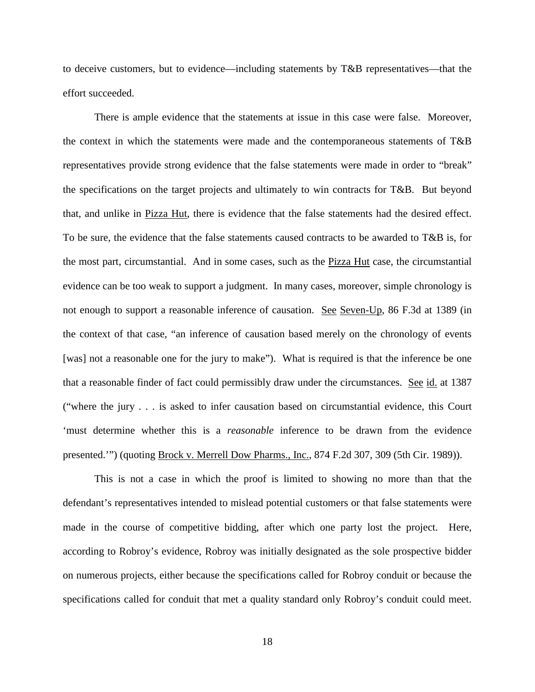to deceive customers, but to evidence—including statements by T&B representatives—that the effort succeeded.

There is ample evidence that the statements at issue in this case were false. Moreover, the context in which the statements were made and the contemporaneous statements of T&B representatives provide strong evidence that the false statements were made in order to "break" the specifications on the target projects and ultimately to win contracts for T&B. But beyond that, and unlike in Pizza Hut, there is evidence that the false statements had the desired effect. To be sure, the evidence that the false statements caused contracts to be awarded to T&B is, for the most part, circumstantial. And in some cases, such as the Pizza Hut case, the circumstantial evidence can be too weak to support a judgment. In many cases, moreover, simple chronology is not enough to support a reasonable inference of causation. See Seven-Up, 86 F.3d at 1389 (in the context of that case, "an inference of causation based merely on the chronology of events [was] not a reasonable one for the jury to make"). What is required is that the inference be one that a reasonable finder of fact could permissibly draw under the circumstances. See id. at 1387 ("where the jury . . . is asked to infer causation based on circumstantial evidence, this Court 'must determine whether this is a *reasonable* inference to be drawn from the evidence presented."") (quoting Brock v. Merrell Dow Pharms., Inc., 874 F.2d 307, 309 (5th Cir. 1989)).

This is not a case in which the proof is limited to showing no more than that the defendant's representatives intended to mislead potential customers or that false statements were made in the course of competitive bidding, after which one party lost the project. Here, according to Robroy's evidence, Robroy was initially designated as the sole prospective bidder on numerous projects, either because the specifications called for Robroy conduit or because the specifications called for conduit that met a quality standard only Robroy's conduit could meet.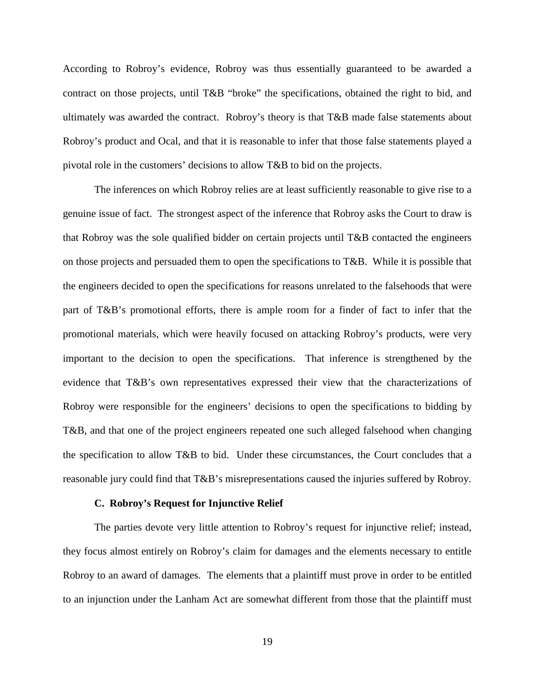According to Robroy's evidence, Robroy was thus essentially guaranteed to be awarded a contract on those projects, until T&B "broke" the specifications, obtained the right to bid, and ultimately was awarded the contract. Robroy's theory is that T&B made false statements about Robroy's product and Ocal, and that it is reasonable to infer that those false statements played a pivotal role in the customers' decisions to allow T&B to bid on the projects.

The inferences on which Robroy relies are at least sufficiently reasonable to give rise to a genuine issue of fact. The strongest aspect of the inference that Robroy asks the Court to draw is that Robroy was the sole qualified bidder on certain projects until T&B contacted the engineers on those projects and persuaded them to open the specifications to T&B. While it is possible that the engineers decided to open the specifications for reasons unrelated to the falsehoods that were part of T&B's promotional efforts, there is ample room for a finder of fact to infer that the promotional materials, which were heavily focused on attacking Robroy's products, were very important to the decision to open the specifications. That inference is strengthened by the evidence that T&B's own representatives expressed their view that the characterizations of Robroy were responsible for the engineers' decisions to open the specifications to bidding by T&B, and that one of the project engineers repeated one such alleged falsehood when changing the specification to allow T&B to bid. Under these circumstances, the Court concludes that a reasonable jury could find that T&B's misrepresentations caused the injuries suffered by Robroy.

## **C. Robroy's Request for Injunctive Relief**

The parties devote very little attention to Robroy's request for injunctive relief; instead, they focus almost entirely on Robroy's claim for damages and the elements necessary to entitle Robroy to an award of damages. The elements that a plaintiff must prove in order to be entitled to an injunction under the Lanham Act are somewhat different from those that the plaintiff must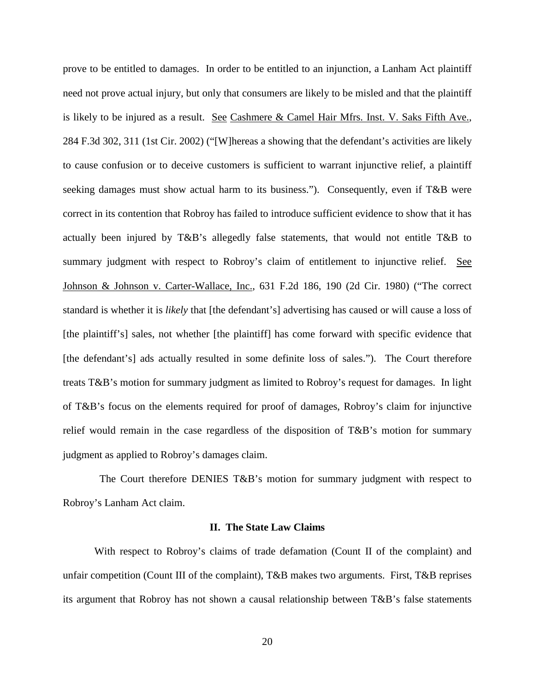prove to be entitled to damages. In order to be entitled to an injunction, a Lanham Act plaintiff need not prove actual injury, but only that consumers are likely to be misled and that the plaintiff is likely to be injured as a result. See Cashmere & Camel Hair Mfrs. Inst. V. Saks Fifth Ave., 284 F.3d 302, 311 (1st Cir. 2002) ("[W]hereas a showing that the defendant's activities are likely to cause confusion or to deceive customers is sufficient to warrant injunctive relief, a plaintiff seeking damages must show actual harm to its business."). Consequently, even if T&B were correct in its contention that Robroy has failed to introduce sufficient evidence to show that it has actually been injured by T&B's allegedly false statements, that would not entitle T&B to summary judgment with respect to Robroy's claim of entitlement to injunctive relief. See Johnson & Johnson v. Carter-Wallace, Inc., 631 F.2d 186, 190 (2d Cir. 1980) ("The correct standard is whether it is *likely* that [the defendant's] advertising has caused or will cause a loss of [the plaintiff's] sales, not whether [the plaintiff] has come forward with specific evidence that [the defendant's] ads actually resulted in some definite loss of sales."). The Court therefore treats T&B's motion for summary judgment as limited to Robroy's request for damages. In light of T&B's focus on the elements required for proof of damages, Robroy's claim for injunctive relief would remain in the case regardless of the disposition of T&B's motion for summary judgment as applied to Robroy's damages claim.

 The Court therefore DENIES T&B's motion for summary judgment with respect to Robroy's Lanham Act claim.

#### **II. The State Law Claims**

With respect to Robroy's claims of trade defamation (Count II of the complaint) and unfair competition (Count III of the complaint), T&B makes two arguments. First, T&B reprises its argument that Robroy has not shown a causal relationship between T&B's false statements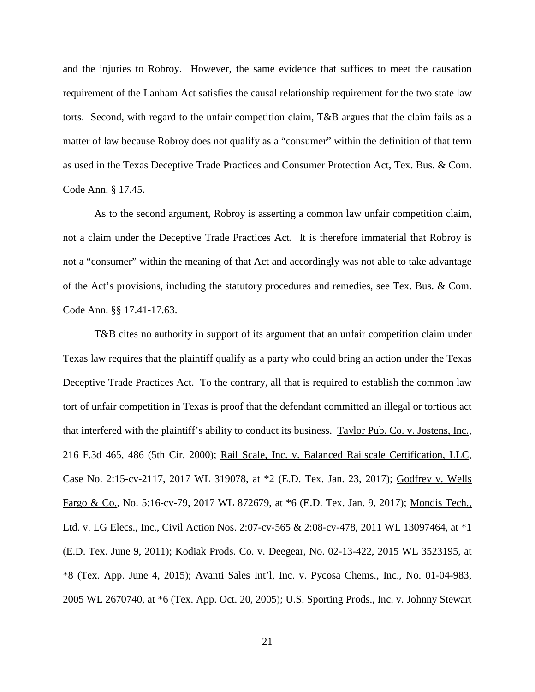and the injuries to Robroy. However, the same evidence that suffices to meet the causation requirement of the Lanham Act satisfies the causal relationship requirement for the two state law torts. Second, with regard to the unfair competition claim, T&B argues that the claim fails as a matter of law because Robroy does not qualify as a "consumer" within the definition of that term as used in the Texas Deceptive Trade Practices and Consumer Protection Act, Tex. Bus. & Com. Code Ann. § 17.45.

As to the second argument, Robroy is asserting a common law unfair competition claim, not a claim under the Deceptive Trade Practices Act. It is therefore immaterial that Robroy is not a "consumer" within the meaning of that Act and accordingly was not able to take advantage of the Act's provisions, including the statutory procedures and remedies, see Tex. Bus. & Com. Code Ann. §§ 17.41-17.63.

T&B cites no authority in support of its argument that an unfair competition claim under Texas law requires that the plaintiff qualify as a party who could bring an action under the Texas Deceptive Trade Practices Act. To the contrary, all that is required to establish the common law tort of unfair competition in Texas is proof that the defendant committed an illegal or tortious act that interfered with the plaintiff's ability to conduct its business. Taylor Pub. Co. v. Jostens, Inc., 216 F.3d 465, 486 (5th Cir. 2000); Rail Scale, Inc. v. Balanced Railscale Certification, LLC, Case No. 2:15-cv-2117, 2017 WL 319078, at \*2 (E.D. Tex. Jan. 23, 2017); Godfrey v. Wells Fargo & Co., No. 5:16-cv-79, 2017 WL 872679, at \*6 (E.D. Tex. Jan. 9, 2017); Mondis Tech., Ltd. v. LG Elecs., Inc., Civil Action Nos. 2:07-cv-565 & 2:08-cv-478, 2011 WL 13097464, at \*1 (E.D. Tex. June 9, 2011); Kodiak Prods. Co. v. Deegear, No. 02-13-422, 2015 WL 3523195, at \*8 (Tex. App. June 4, 2015); Avanti Sales Int'l, Inc. v. Pycosa Chems., Inc., No. 01-04-983, 2005 WL 2670740, at \*6 (Tex. App. Oct. 20, 2005); U.S. Sporting Prods., Inc. v. Johnny Stewart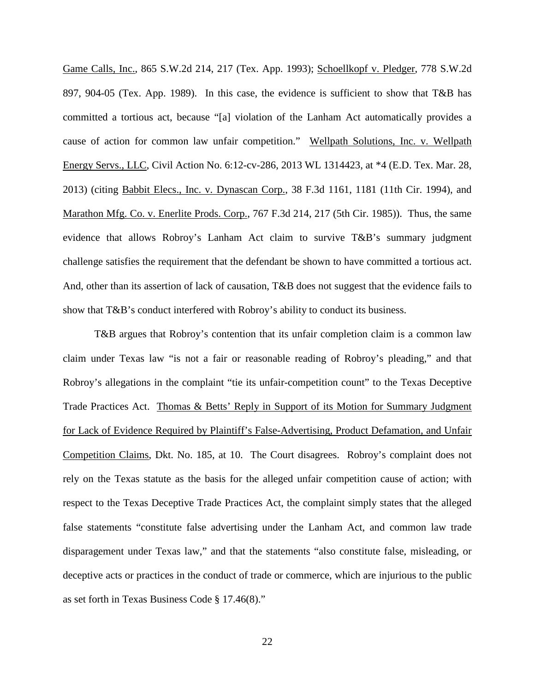Game Calls, Inc., 865 S.W.2d 214, 217 (Tex. App. 1993); Schoellkopf v. Pledger, 778 S.W.2d 897, 904-05 (Tex. App. 1989). In this case, the evidence is sufficient to show that T&B has committed a tortious act, because "[a] violation of the Lanham Act automatically provides a cause of action for common law unfair competition." Wellpath Solutions, Inc. v. Wellpath Energy Servs., LLC, Civil Action No. 6:12-cv-286, 2013 WL 1314423, at \*4 (E.D. Tex. Mar. 28, 2013) (citing Babbit Elecs., Inc. v. Dynascan Corp., 38 F.3d 1161, 1181 (11th Cir. 1994), and Marathon Mfg. Co. v. Enerlite Prods. Corp., 767 F.3d 214, 217 (5th Cir. 1985)). Thus, the same evidence that allows Robroy's Lanham Act claim to survive T&B's summary judgment challenge satisfies the requirement that the defendant be shown to have committed a tortious act. And, other than its assertion of lack of causation, T&B does not suggest that the evidence fails to show that T&B's conduct interfered with Robroy's ability to conduct its business.

T&B argues that Robroy's contention that its unfair completion claim is a common law claim under Texas law "is not a fair or reasonable reading of Robroy's pleading," and that Robroy's allegations in the complaint "tie its unfair-competition count" to the Texas Deceptive Trade Practices Act. Thomas & Betts' Reply in Support of its Motion for Summary Judgment for Lack of Evidence Required by Plaintiff's False-Advertising, Product Defamation, and Unfair Competition Claims, Dkt. No. 185, at 10. The Court disagrees. Robroy's complaint does not rely on the Texas statute as the basis for the alleged unfair competition cause of action; with respect to the Texas Deceptive Trade Practices Act, the complaint simply states that the alleged false statements "constitute false advertising under the Lanham Act, and common law trade disparagement under Texas law," and that the statements "also constitute false, misleading, or deceptive acts or practices in the conduct of trade or commerce, which are injurious to the public as set forth in Texas Business Code § 17.46(8)."